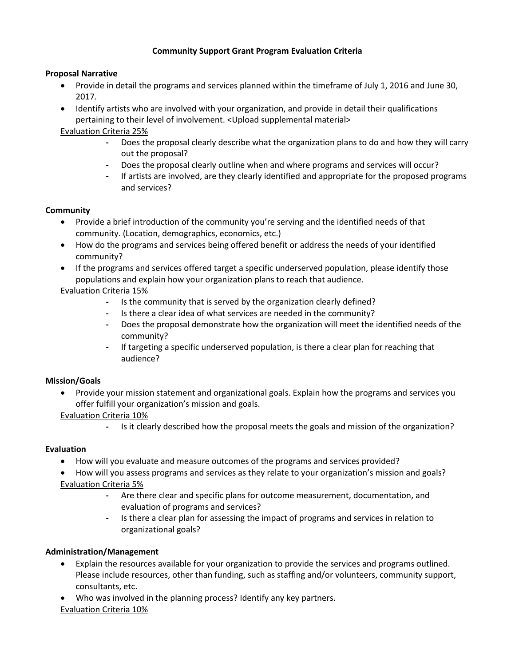# **Community Support Grant Program Evaluation Criteria**

#### **Proposal Narrative**

- Provide in detail the programs and services planned within the timeframe of July 1, 2016 and June 30, 2017.
- Identify artists who are involved with your organization, and provide in detail their qualifications pertaining to their level of involvement. <Upload supplemental material>

Evaluation Criteria 25%

- **-** Does the proposal clearly describe what the organization plans to do and how they will carry out the proposal?
- **-** Does the proposal clearly outline when and where programs and services will occur?
- **-** If artists are involved, are they clearly identified and appropriate for the proposed programs and services?

#### **Community**

- Provide a brief introduction of the community you're serving and the identified needs of that community. (Location, demographics, economics, etc.)
- How do the programs and services being offered benefit or address the needs of your identified community?
- If the programs and services offered target a specific underserved population, please identify those populations and explain how your organization plans to reach that audience.

## Evaluation Criteria 15%

- **-** Is the community that is served by the organization clearly defined?
- **-** Is there a clear idea of what services are needed in the community?
- **-** Does the proposal demonstrate how the organization will meet the identified needs of the community?
- **-** If targeting a specific underserved population, is there a clear plan for reaching that audience?

## **Mission/Goals**

 Provide your mission statement and organizational goals. Explain how the programs and services you offer fulfill your organization's mission and goals.

Evaluation Criteria 10%

**-** Is it clearly described how the proposal meets the goals and mission of the organization?

## **Evaluation**

- How will you evaluate and measure outcomes of the programs and services provided?
- How will you assess programs and services as they relate to your organization's mission and goals? Evaluation Criteria 5%
	- **-** Are there clear and specific plans for outcome measurement, documentation, and evaluation of programs and services?
	- **-** Is there a clear plan for assessing the impact of programs and services in relation to organizational goals?

## **Administration/Management**

- Explain the resources available for your organization to provide the services and programs outlined. Please include resources, other than funding, such as staffing and/or volunteers, community support, consultants, etc.
- Who was involved in the planning process? Identify any key partners.

## Evaluation Criteria 10%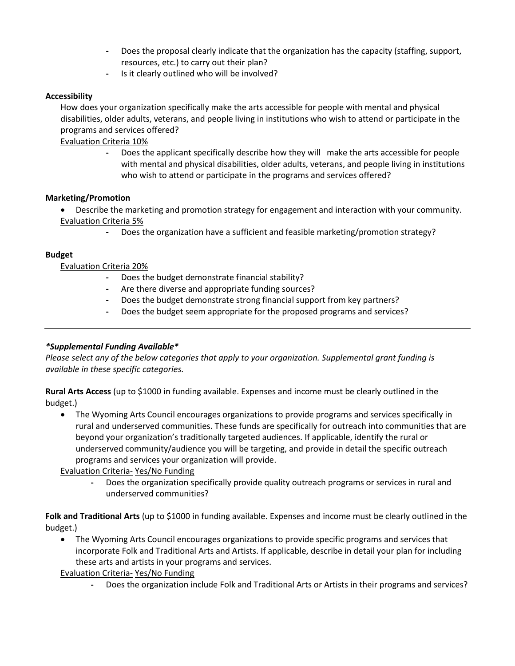- **-** Does the proposal clearly indicate that the organization has the capacity (staffing, support, resources, etc.) to carry out their plan?
- **-** Is it clearly outlined who will be involved?

#### **Accessibility**

How does your organization specifically make the arts accessible for people with mental and physical disabilities, older adults, veterans, and people living in institutions who wish to attend or participate in the programs and services offered?

Evaluation Criteria 10%

**-** Does the applicant specifically describe how they will make the arts accessible for people with mental and physical disabilities, older adults, veterans, and people living in institutions who wish to attend or participate in the programs and services offered?

#### **Marketing/Promotion**

 Describe the marketing and promotion strategy for engagement and interaction with your community. Evaluation Criteria 5%

**-** Does the organization have a sufficient and feasible marketing/promotion strategy?

#### **Budget**

Evaluation Criteria 20%

- **-** Does the budget demonstrate financial stability?
- **-** Are there diverse and appropriate funding sources?
- **-** Does the budget demonstrate strong financial support from key partners?
- **-** Does the budget seem appropriate for the proposed programs and services?

## *\*Supplemental Funding Available\**

*Please select any of the below categories that apply to your organization. Supplemental grant funding is available in these specific categories.*

**Rural Arts Access** (up to \$1000 in funding available. Expenses and income must be clearly outlined in the budget.)

 The Wyoming Arts Council encourages organizations to provide programs and services specifically in rural and underserved communities. These funds are specifically for outreach into communities that are beyond your organization's traditionally targeted audiences. If applicable, identify the rural or underserved community/audience you will be targeting, and provide in detail the specific outreach programs and services your organization will provide.

Evaluation Criteria- Yes/No Funding

**-** Does the organization specifically provide quality outreach programs or services in rural and underserved communities?

**Folk and Traditional Arts** (up to \$1000 in funding available. Expenses and income must be clearly outlined in the budget.)

 The Wyoming Arts Council encourages organizations to provide specific programs and services that incorporate Folk and Traditional Arts and Artists. If applicable, describe in detail your plan for including these arts and artists in your programs and services.

Evaluation Criteria- Yes/No Funding

**-** Does the organization include Folk and Traditional Arts or Artists in their programs and services?